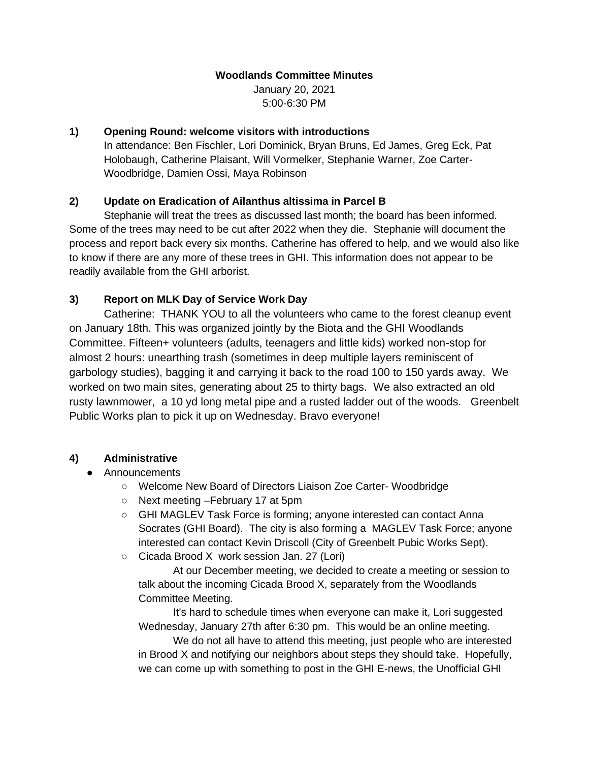### **Woodlands Committee Minutes**

January 20, 2021 5:00-6:30 PM

#### **1) Opening Round: welcome visitors with introductions**

In attendance: Ben Fischler, Lori Dominick, Bryan Bruns, Ed James, Greg Eck, Pat Holobaugh, Catherine Plaisant, Will Vormelker, Stephanie Warner, Zoe Carter-Woodbridge, Damien Ossi, Maya Robinson

### **2) Update on Eradication of Ailanthus altissima in Parcel B**

Stephanie will treat the trees as discussed last month; the board has been informed. Some of the trees may need to be cut after 2022 when they die. Stephanie will document the process and report back every six months. Catherine has offered to help, and we would also like to know if there are any more of these trees in GHI. This information does not appear to be readily available from the GHI arborist.

# **3) Report on MLK Day of Service Work Day**

Catherine: THANK YOU to all the volunteers who came to the forest cleanup event on January 18th. This was organized jointly by the Biota and the GHI Woodlands Committee. Fifteen+ volunteers (adults, teenagers and little kids) worked non-stop for almost 2 hours: unearthing trash (sometimes in deep multiple layers reminiscent of garbology studies), bagging it and carrying it back to the road 100 to 150 yards away. We worked on two main sites, generating about 25 to thirty bags. We also extracted an old rusty lawnmower, a 10 yd long metal pipe and a rusted ladder out of the woods. Greenbelt Public Works plan to pick it up on Wednesday. Bravo everyone!

### **4) Administrative**

### ● Announcements

- Welcome New Board of Directors Liaison Zoe Carter- Woodbridge
- Next meeting –February 17 at 5pm
- GHI MAGLEV Task Force is forming; anyone interested can contact Anna Socrates (GHI Board). The city is also forming a MAGLEV Task Force; anyone interested can contact Kevin Driscoll (City of Greenbelt Pubic Works Sept).
- Cicada Brood X work session Jan. 27 (Lori)

At our December meeting, we decided to create a meeting or session to talk about the incoming Cicada Brood X, separately from the Woodlands Committee Meeting.

It's hard to schedule times when everyone can make it, Lori suggested Wednesday, January 27th after 6:30 pm. This would be an online meeting.

We do not all have to attend this meeting, just people who are interested in Brood X and notifying our neighbors about steps they should take. Hopefully, we can come up with something to post in the GHI E-news, the Unofficial GHI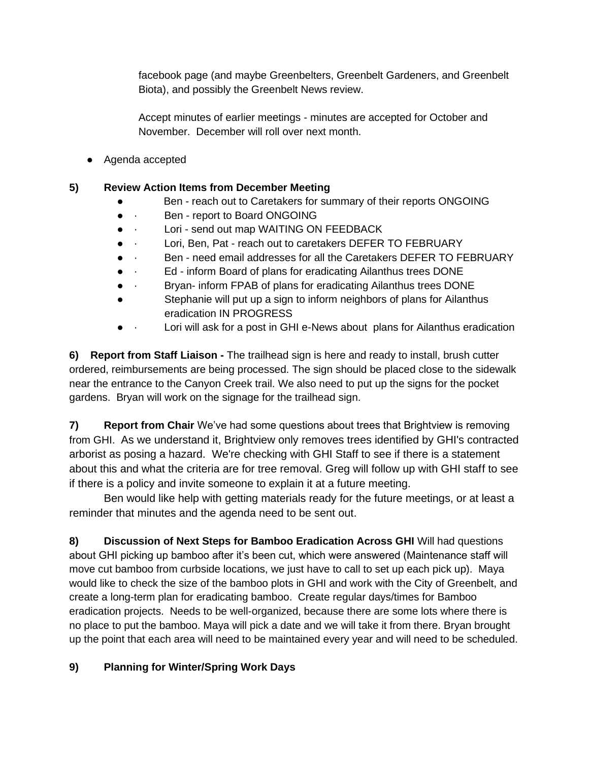facebook page (and maybe Greenbelters, Greenbelt Gardeners, and Greenbelt Biota), and possibly the Greenbelt News review.

Accept minutes of earlier meetings - minutes are accepted for October and November. December will roll over next month.

● Agenda accepted

## **5) Review Action Items from December Meeting**

- Ben reach out to Caretakers for summary of their reports ONGOING
- · Ben report to Board ONGOING
- · Lori send out map WAITING ON FEEDBACK
- Lori, Ben, Pat reach out to caretakers DEFER TO FEBRUARY
- · Ben need email addresses for all the Caretakers DEFER TO FEBRUARY
- a **Ed** inform Board of plans for eradicating Ailanthus trees DONE
- · Bryan- inform FPAB of plans for eradicating Ailanthus trees DONE
- Stephanie will put up a sign to inform neighbors of plans for Ailanthus eradication IN PROGRESS
- · Lori will ask for a post in GHI e-News about plans for Ailanthus eradication

**6) Report from Staff Liaison -** The trailhead sign is here and ready to install, brush cutter ordered, reimbursements are being processed. The sign should be placed close to the sidewalk near the entrance to the Canyon Creek trail. We also need to put up the signs for the pocket gardens. Bryan will work on the signage for the trailhead sign.

**7) Report from Chair** We've had some questions about trees that Brightview is removing from GHI. As we understand it, Brightview only removes trees identified by GHI's contracted arborist as posing a hazard. We're checking with GHI Staff to see if there is a statement about this and what the criteria are for tree removal. Greg will follow up with GHI staff to see if there is a policy and invite someone to explain it at a future meeting.

Ben would like help with getting materials ready for the future meetings, or at least a reminder that minutes and the agenda need to be sent out.

**8) Discussion of Next Steps for Bamboo Eradication Across GHI** Will had questions about GHI picking up bamboo after it's been cut, which were answered (Maintenance staff will move cut bamboo from curbside locations, we just have to call to set up each pick up). Maya would like to check the size of the bamboo plots in GHI and work with the City of Greenbelt, and create a long-term plan for eradicating bamboo. Create regular days/times for Bamboo eradication projects. Needs to be well-organized, because there are some lots where there is no place to put the bamboo. Maya will pick a date and we will take it from there. Bryan brought up the point that each area will need to be maintained every year and will need to be scheduled.

# **9) Planning for Winter/Spring Work Days**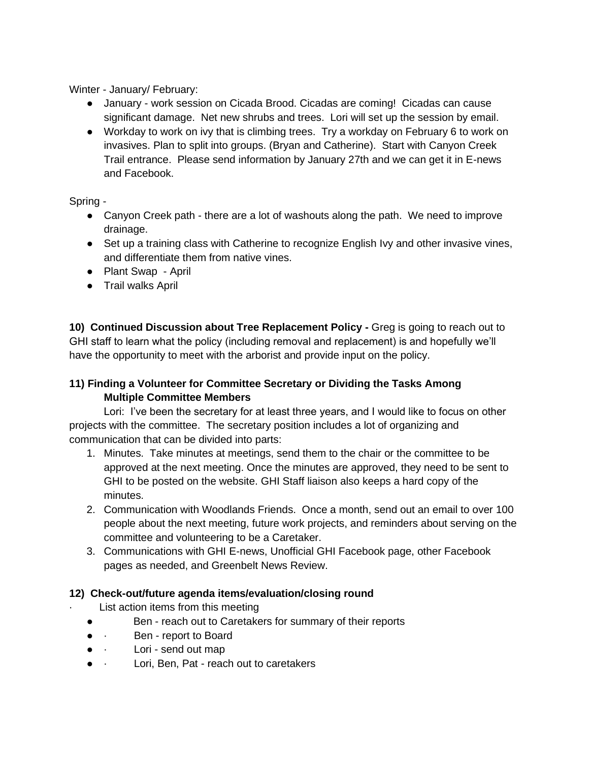Winter - January/ February:

- January work session on Cicada Brood. Cicadas are coming! Cicadas can cause significant damage. Net new shrubs and trees. Lori will set up the session by email.
- Workday to work on ivy that is climbing trees. Try a workday on February 6 to work on invasives. Plan to split into groups. (Bryan and Catherine). Start with Canyon Creek Trail entrance. Please send information by January 27th and we can get it in E-news and Facebook.

### Spring -

- Canyon Creek path there are a lot of washouts along the path. We need to improve drainage.
- Set up a training class with Catherine to recognize English Ivy and other invasive vines, and differentiate them from native vines.
- Plant Swap April
- Trail walks April

**10) Continued Discussion about Tree Replacement Policy -** Greg is going to reach out to GHI staff to learn what the policy (including removal and replacement) is and hopefully we'll have the opportunity to meet with the arborist and provide input on the policy.

## **11) Finding a Volunteer for Committee Secretary or Dividing the Tasks Among Multiple Committee Members**

Lori: I've been the secretary for at least three years, and I would like to focus on other projects with the committee. The secretary position includes a lot of organizing and communication that can be divided into parts:

- 1. Minutes. Take minutes at meetings, send them to the chair or the committee to be approved at the next meeting. Once the minutes are approved, they need to be sent to GHI to be posted on the website. GHI Staff liaison also keeps a hard copy of the minutes.
- 2. Communication with Woodlands Friends. Once a month, send out an email to over 100 people about the next meeting, future work projects, and reminders about serving on the committee and volunteering to be a Caretaker.
- 3. Communications with GHI E-news, Unofficial GHI Facebook page, other Facebook pages as needed, and Greenbelt News Review.

### **12) Check-out/future agenda items/evaluation/closing round**

- List action items from this meeting
- Ben reach out to Caretakers for summary of their reports
- · Ben report to Board
- · Lori send out map
- · Lori, Ben, Pat reach out to caretakers